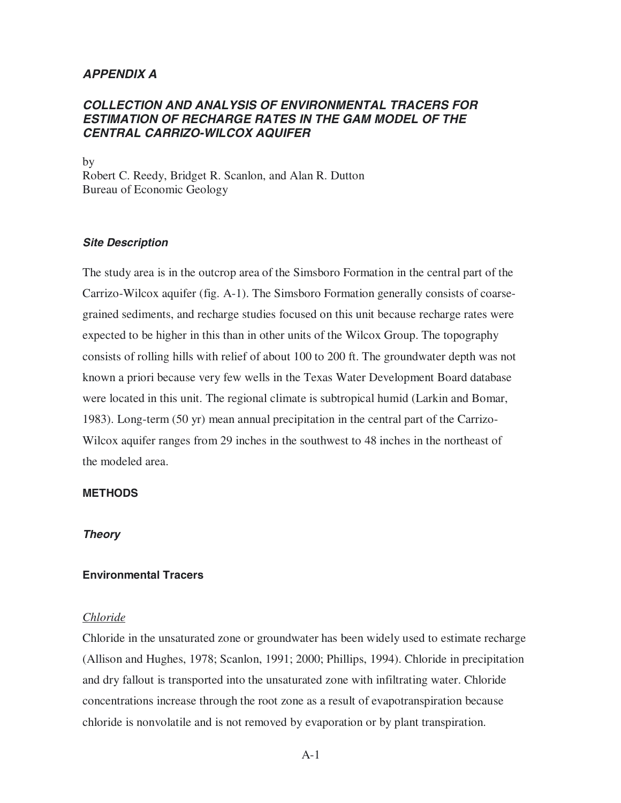# **APPENDIX A**

# **COLLECTION AND ANALYSIS OF ENVIRONMENTAL TRACERS FOR ESTIMATION OF RECHARGE RATES IN THE GAM MODEL OF THE CENTRAL CARRIZO-WILCOX AQUIFER**

by Robert C. Reedy, Bridget R. Scanlon, and Alan R. Dutton Bureau of Economic Geology

### **Site Description**

The study area is in the outcrop area of the Simsboro Formation in the central part of the Carrizo-Wilcox aquifer (fig. A-1). The Simsboro Formation generally consists of coarsegrained sediments, and recharge studies focused on this unit because recharge rates were expected to be higher in this than in other units of the Wilcox Group. The topography consists of rolling hills with relief of about 100 to 200 ft. The groundwater depth was not known a priori because very few wells in the Texas Water Development Board database were located in this unit. The regional climate is subtropical humid (Larkin and Bomar, 1983). Long-term (50 yr) mean annual precipitation in the central part of the Carrizo-Wilcox aquifer ranges from 29 inches in the southwest to 48 inches in the northeast of the modeled area.

## **METHODS**

## **Theory**

# **Environmental Tracers**

### *Chloride*

Chloride in the unsaturated zone or groundwater has been widely used to estimate recharge (Allison and Hughes, 1978; Scanlon, 1991; 2000; Phillips, 1994). Chloride in precipitation and dry fallout is transported into the unsaturated zone with infiltrating water. Chloride concentrations increase through the root zone as a result of evapotranspiration because chloride is nonvolatile and is not removed by evaporation or by plant transpiration.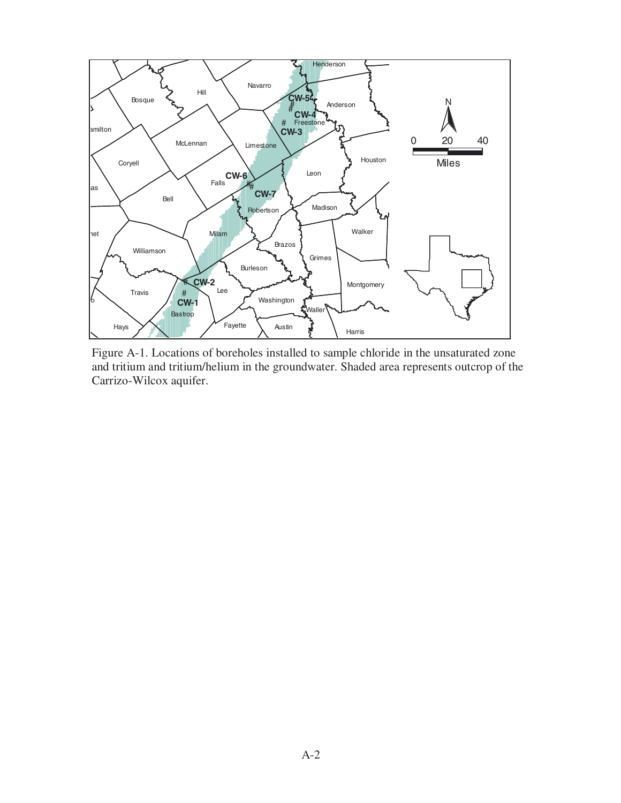

Figure A-1. Locations of boreholes installed to sample chloride in the unsaturated zone and tritium and tritium/helium in the groundwater. Shaded area represents outcrop of the Carrizo-Wilcox aquifer.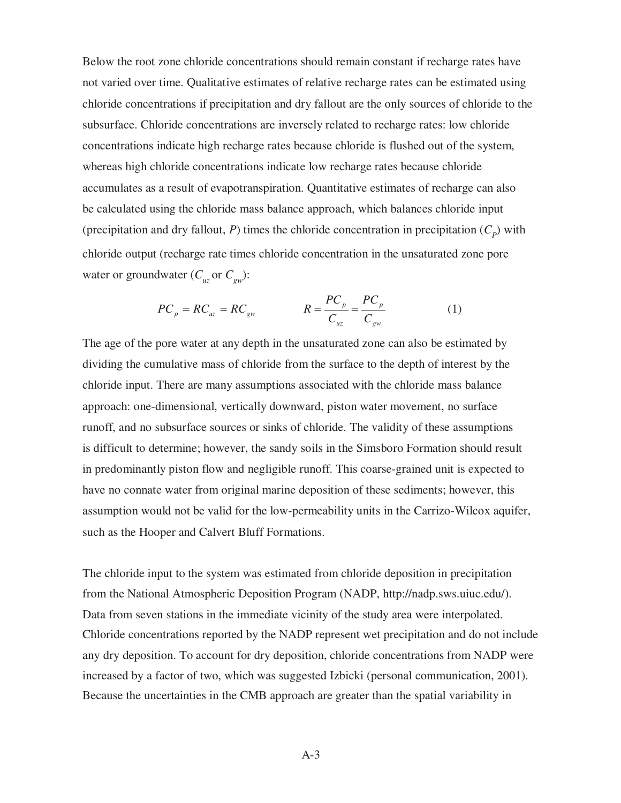Below the root zone chloride concentrations should remain constant if recharge rates have not varied over time. Qualitative estimates of relative recharge rates can be estimated using chloride concentrations if precipitation and dry fallout are the only sources of chloride to the subsurface. Chloride concentrations are inversely related to recharge rates: low chloride concentrations indicate high recharge rates because chloride is flushed out of the system, whereas high chloride concentrations indicate low recharge rates because chloride accumulates as a result of evapotranspiration. Quantitative estimates of recharge can also be calculated using the chloride mass balance approach, which balances chloride input (precipitation and dry fallout, *P*) times the chloride concentration in precipitation  $(C_p)$  with chloride output (recharge rate times chloride concentration in the unsaturated zone pore water or groundwater ( $C_{u\bar{z}}$  or  $C_{gw}$ ):

$$
PC_p = RC_{uz} = RC_{gw} \qquad R = \frac{PC_p}{C_{uz}} = \frac{PC_p}{C_{gw}} \qquad (1)
$$

The age of the pore water at any depth in the unsaturated zone can also be estimated by dividing the cumulative mass of chloride from the surface to the depth of interest by the chloride input. There are many assumptions associated with the chloride mass balance approach: one-dimensional, vertically downward, piston water movement, no surface runoff, and no subsurface sources or sinks of chloride. The validity of these assumptions is difficult to determine; however, the sandy soils in the Simsboro Formation should result in predominantly piston flow and negligible runoff. This coarse-grained unit is expected to have no connate water from original marine deposition of these sediments; however, this assumption would not be valid for the low-permeability units in the Carrizo-Wilcox aquifer, such as the Hooper and Calvert Bluff Formations.

The chloride input to the system was estimated from chloride deposition in precipitation from the National Atmospheric Deposition Program (NADP, http://nadp.sws.uiuc.edu/). Data from seven stations in the immediate vicinity of the study area were interpolated. Chloride concentrations reported by the NADP represent wet precipitation and do not include any dry deposition. To account for dry deposition, chloride concentrations from NADP were increased by a factor of two, which was suggested Izbicki (personal communication, 2001). Because the uncertainties in the CMB approach are greater than the spatial variability in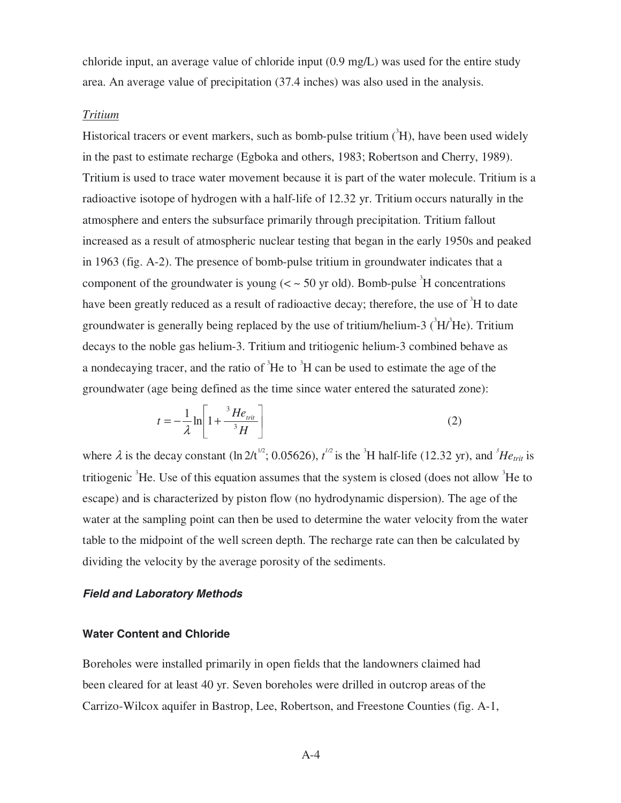chloride input, an average value of chloride input (0.9 mg/L) was used for the entire study area. An average value of precipitation (37.4 inches) was also used in the analysis.

#### *Tritium*

Historical tracers or event markers, such as bomb-pulse tritium  $({}^{3}H)$ , have been used widely in the past to estimate recharge (Egboka and others, 1983; Robertson and Cherry, 1989). Tritium is used to trace water movement because it is part of the water molecule. Tritium is a radioactive isotope of hydrogen with a half-life of 12.32 yr. Tritium occurs naturally in the atmosphere and enters the subsurface primarily through precipitation. Tritium fallout increased as a result of atmospheric nuclear testing that began in the early 1950s and peaked in 1963 (fig. A-2). The presence of bomb-pulse tritium in groundwater indicates that a component of the groundwater is young  $(<$   $\sim$  50 yr old). Bomb-pulse  ${}^{3}$ H concentrations have been greatly reduced as a result of radioactive decay; therefore, the use of <sup>3</sup>H to date groundwater is generally being replaced by the use of tritium/helium-3  $(^{3}H/^{3}He)$ . Tritium decays to the noble gas helium-3. Tritium and tritiogenic helium-3 combined behave as a nondecaying tracer, and the ratio of  ${}^{3}$ He to  ${}^{3}$ H can be used to estimate the age of the groundwater (age being defined as the time since water entered the saturated zone):

$$
t = -\frac{1}{\lambda} \ln \left[ 1 + \frac{{}^3He_{\text{trit}}}{{}^3H} \right]
$$
 (2)

where  $\lambda$  is the decay constant (ln 2/t<sup>1/2</sup>; 0.05626),  $t^{1/2}$  is the <sup>3</sup>H half-life (12.32 yr), and <sup>3</sup>He<sub>trit</sub> is tritiogenic  ${}^{3}$ He. Use of this equation assumes that the system is closed (does not allow  ${}^{3}$ He to escape) and is characterized by piston flow (no hydrodynamic dispersion). The age of the water at the sampling point can then be used to determine the water velocity from the water table to the midpoint of the well screen depth. The recharge rate can then be calculated by dividing the velocity by the average porosity of the sediments.

### **Field and Laboratory Methods**

#### **Water Content and Chloride**

Boreholes were installed primarily in open fields that the landowners claimed had been cleared for at least 40 yr. Seven boreholes were drilled in outcrop areas of the Carrizo-Wilcox aquifer in Bastrop, Lee, Robertson, and Freestone Counties (fig. A-1,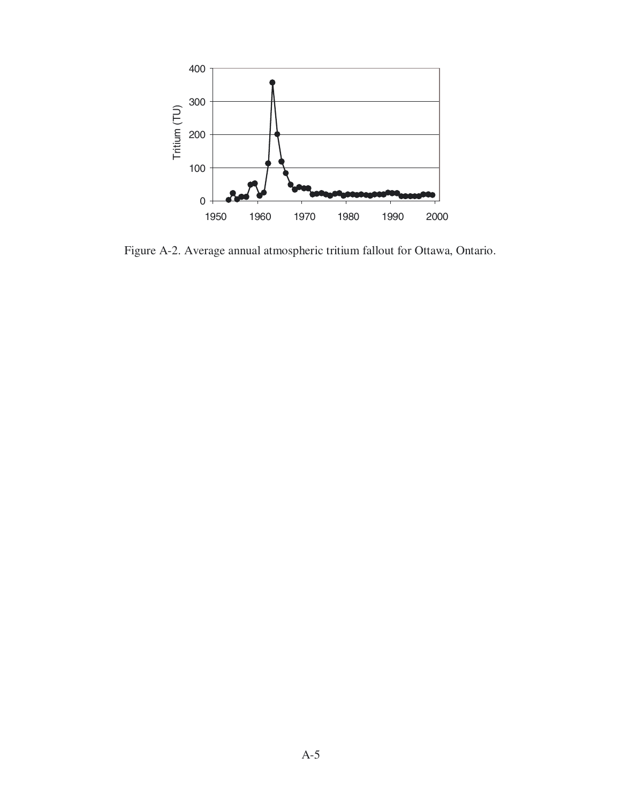

Figure A-2. Average annual atmospheric tritium fallout for Ottawa, Ontario.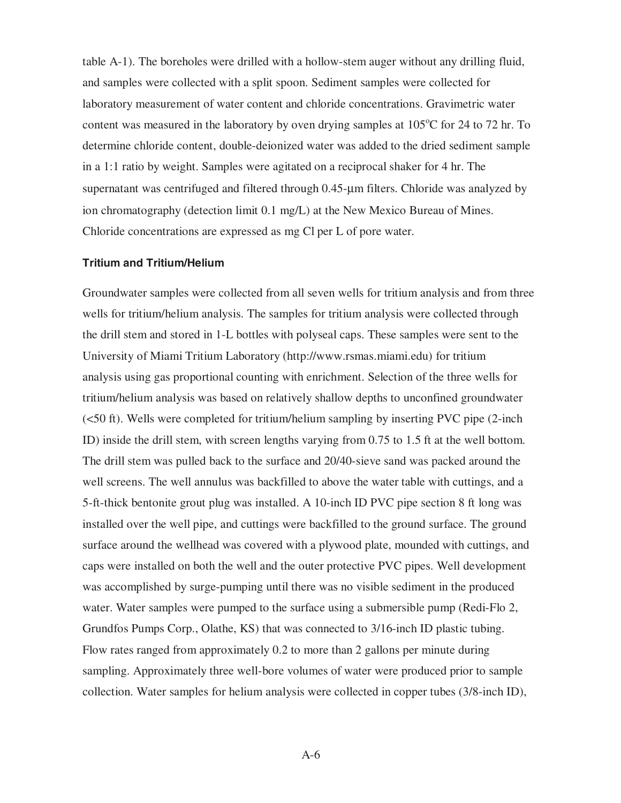table A-1). The boreholes were drilled with a hollow-stem auger without any drilling fluid, and samples were collected with a split spoon. Sediment samples were collected for laboratory measurement of water content and chloride concentrations. Gravimetric water content was measured in the laboratory by oven drying samples at  $105^{\circ}$ C for 24 to 72 hr. To determine chloride content, double-deionized water was added to the dried sediment sample in a 1:1 ratio by weight. Samples were agitated on a reciprocal shaker for 4 hr. The supernatant was centrifuged and filtered through 0.45-µm filters. Chloride was analyzed by ion chromatography (detection limit 0.1 mg/L) at the New Mexico Bureau of Mines. Chloride concentrations are expressed as mg Cl per L of pore water.

#### **Tritium and Tritium/Helium**

Groundwater samples were collected from all seven wells for tritium analysis and from three wells for tritium/helium analysis. The samples for tritium analysis were collected through the drill stem and stored in 1-L bottles with polyseal caps. These samples were sent to the University of Miami Tritium Laboratory (http://www.rsmas.miami.edu) for tritium analysis using gas proportional counting with enrichment. Selection of the three wells for tritium/helium analysis was based on relatively shallow depths to unconfined groundwater (<50 ft). Wells were completed for tritium/helium sampling by inserting PVC pipe (2-inch ID) inside the drill stem, with screen lengths varying from 0.75 to 1.5 ft at the well bottom. The drill stem was pulled back to the surface and 20/40-sieve sand was packed around the well screens. The well annulus was backfilled to above the water table with cuttings, and a 5-ft-thick bentonite grout plug was installed. A 10-inch ID PVC pipe section 8 ft long was installed over the well pipe, and cuttings were backfilled to the ground surface. The ground surface around the wellhead was covered with a plywood plate, mounded with cuttings, and caps were installed on both the well and the outer protective PVC pipes. Well development was accomplished by surge-pumping until there was no visible sediment in the produced water. Water samples were pumped to the surface using a submersible pump (Redi-Flo 2, Grundfos Pumps Corp., Olathe, KS) that was connected to 3/16-inch ID plastic tubing. Flow rates ranged from approximately 0.2 to more than 2 gallons per minute during sampling. Approximately three well-bore volumes of water were produced prior to sample collection. Water samples for helium analysis were collected in copper tubes (3/8-inch ID),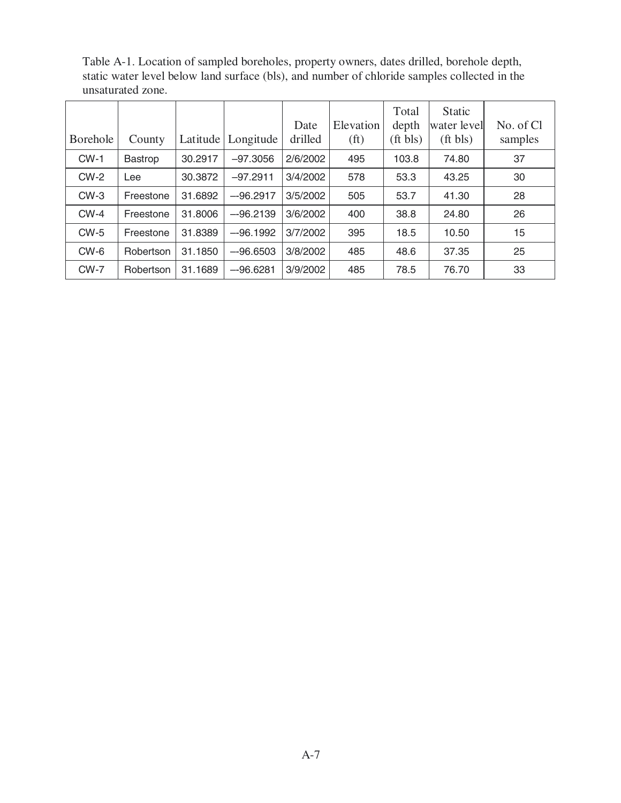|                 |                |          |            | Date     | Elevation         | Total<br>depth | <b>Static</b><br>water level | No. of Cl |
|-----------------|----------------|----------|------------|----------|-------------------|----------------|------------------------------|-----------|
| <b>Borehole</b> | County         | Latitude | Longitude  | drilled  | (f <sup>t</sup> ) | ft bls)        | $({\rm ft bls})$             | samples   |
| $CW-1$          | <b>Bastrop</b> | 30.2917  | $-97.3056$ | 2/6/2002 | 495               | 103.8          | 74.80                        | 37        |
| $CW-2$          | Lee            | 30.3872  | $-97.2911$ | 3/4/2002 | 578               | 53.3           | 43.25                        | 30        |
| $CW-3$          | Freestone      | 31.6892  | $-96.2917$ | 3/5/2002 | 505               | 53.7           | 41.30                        | 28        |
| $CW-4$          | Freestone      | 31.8006  | $-96.2139$ | 3/6/2002 | 400               | 38.8           | 24.80                        | 26        |
| $CW-5$          | Freestone      | 31.8389  | $-96.1992$ | 3/7/2002 | 395               | 18.5           | 10.50                        | 15        |
| $CW-6$          | Robertson      | 31.1850  | $-96.6503$ | 3/8/2002 | 485               | 48.6           | 37.35                        | 25        |
| $CW-7$          | Robertson      | 31.1689  | $-96.6281$ | 3/9/2002 | 485               | 78.5           | 76.70                        | 33        |

Table A-1. Location of sampled boreholes, property owners, dates drilled, borehole depth, static water level below land surface (bls), and number of chloride samples collected in the unsaturated zone.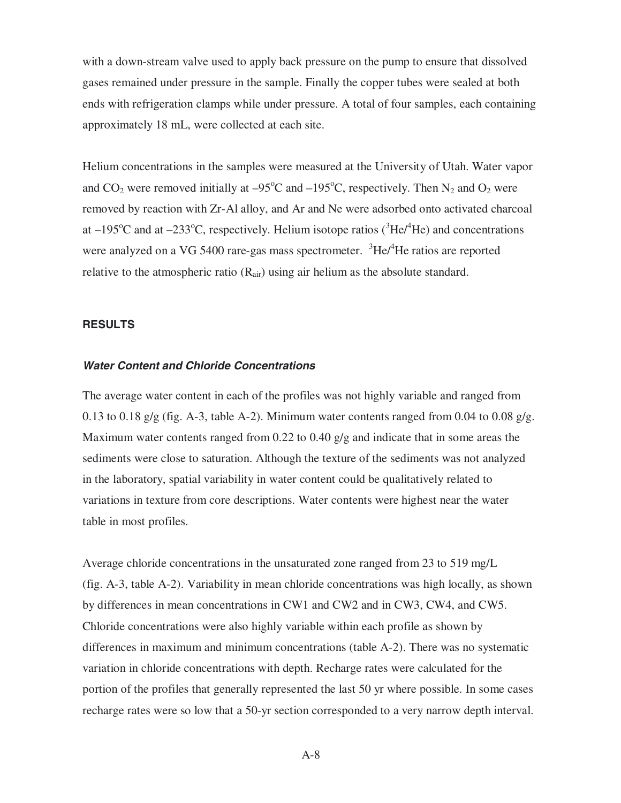with a down-stream valve used to apply back pressure on the pump to ensure that dissolved gases remained under pressure in the sample. Finally the copper tubes were sealed at both ends with refrigeration clamps while under pressure. A total of four samples, each containing approximately 18 mL, were collected at each site.

Helium concentrations in the samples were measured at the University of Utah. Water vapor and  $CO_2$  were removed initially at  $-95^{\circ}\text{C}$  and  $-195^{\circ}\text{C}$ , respectively. Then N<sub>2</sub> and O<sub>2</sub> were removed by reaction with Zr-Al alloy, and Ar and Ne were adsorbed onto activated charcoal at  $-195^{\circ}$ C and at  $-233^{\circ}$ C, respectively. Helium isotope ratios ( ${}^{3}$ He/ ${}^{4}$ He) and concentrations were analyzed on a VG 5400 rare-gas mass spectrometer. <sup>3</sup>He/<sup>4</sup>He ratios are reported relative to the atmospheric ratio  $(R_{air})$  using air helium as the absolute standard.

### **RESULTS**

#### **Water Content and Chloride Concentrations**

The average water content in each of the profiles was not highly variable and ranged from 0.13 to 0.18 g/g (fig. A-3, table A-2). Minimum water contents ranged from 0.04 to 0.08 g/g. Maximum water contents ranged from 0.22 to 0.40 g/g and indicate that in some areas the sediments were close to saturation. Although the texture of the sediments was not analyzed in the laboratory, spatial variability in water content could be qualitatively related to variations in texture from core descriptions. Water contents were highest near the water table in most profiles.

Average chloride concentrations in the unsaturated zone ranged from 23 to 519 mg/L (fig. A-3, table A-2). Variability in mean chloride concentrations was high locally, as shown by differences in mean concentrations in CW1 and CW2 and in CW3, CW4, and CW5. Chloride concentrations were also highly variable within each profile as shown by differences in maximum and minimum concentrations (table A-2). There was no systematic variation in chloride concentrations with depth. Recharge rates were calculated for the portion of the profiles that generally represented the last 50 yr where possible. In some cases recharge rates were so low that a 50-yr section corresponded to a very narrow depth interval.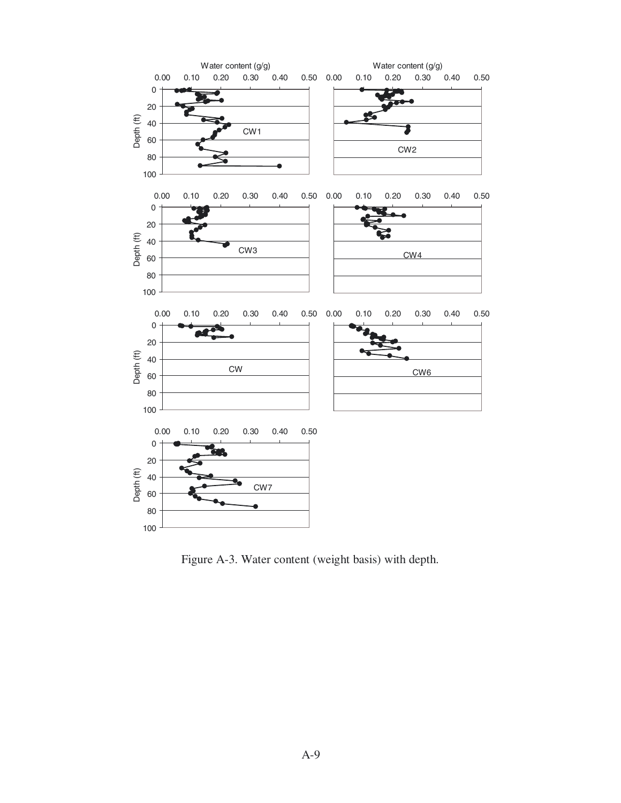

Figure A-3. Water content (weight basis) with depth.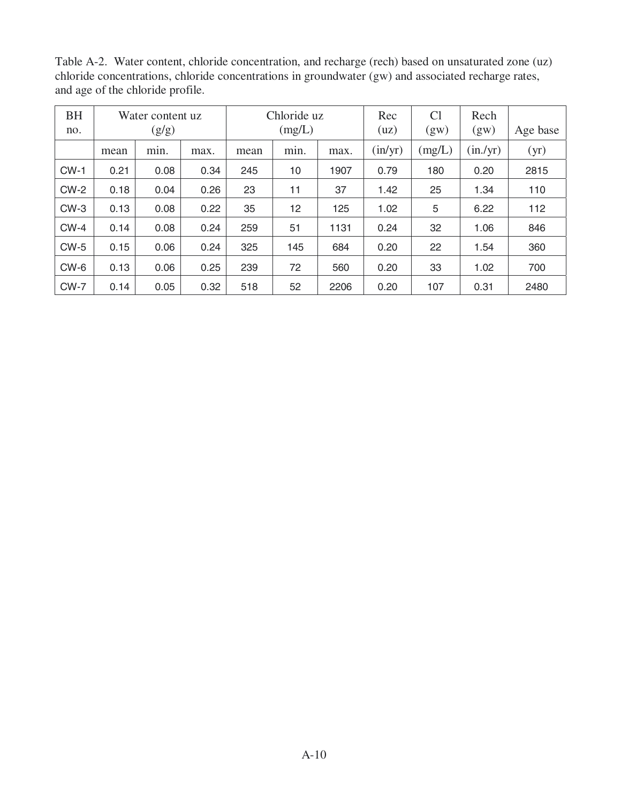| Chronice Concentrations, Chronice Concentrations in groundwater (gw) and associated recharge rates,<br>and age of the chloride profile. |                           |      |      |                       |      |      |                               |                        |              |          |  |  |
|-----------------------------------------------------------------------------------------------------------------------------------------|---------------------------|------|------|-----------------------|------|------|-------------------------------|------------------------|--------------|----------|--|--|
| <b>BH</b><br>no.                                                                                                                        | Water content uz<br>(g/g) |      |      | Chloride uz<br>(mg/L) |      |      | Rec<br>(uz)                   | C <sub>1</sub><br>(gw) | Rech<br>(gw) | Age base |  |  |
|                                                                                                                                         | mean                      | min. | max. | mean                  | min. | max. | $\frac{\text{in}}{\text{yr}}$ | (mg/L)                 | (in./yr)     | (yr)     |  |  |
| $CW-1$                                                                                                                                  | 0.21                      | 0.08 | 0.34 | 245                   | 10   | 1907 | 0.79                          | 180                    | 0.20         | 2815     |  |  |
| $CW-2$                                                                                                                                  | 0.18                      | 0.04 | 0.26 | 23                    | 11   | 37   | 1.42                          | 25                     | 1.34         | 110      |  |  |
| $CW-3$                                                                                                                                  | 0.13                      | 0.08 | 0.22 | 35                    | 12   | 125  | 1.02                          | 5                      | 6.22         | 112      |  |  |
|                                                                                                                                         |                           |      |      |                       |      |      |                               |                        |              |          |  |  |

CW-4 | 0.14 | 0.08 | 0.24 | 259 | 51 | 1131 | 0.24 | 32 | 1.06 | 846 CW-5 | 0.15 | 0.06 | 0.24 | 325 | 145 | 684 | 0.20 | 22 | 1.54 | 360

CW-6 | 0.13 | 0.06 | 0.25 | 239 | 72 | 560 | 0.20 | 33 | 1.02 | 700 CW-7 | 0.14 | 0.05 | 0.32 | 518 | 52 | 2206 | 0.20 | 107 | 0.31 | 2480

Table A-2. Water content, chloride concentration, and recharge (rech) based on unsaturated zone (uz) chloride concentrations, chloride concentrations in groundwater (gw) and associated recharge rates,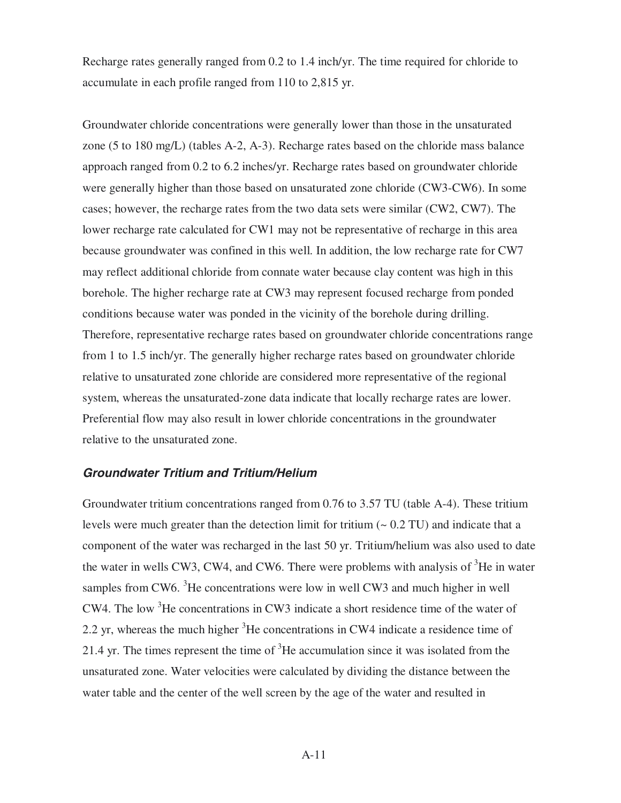Recharge rates generally ranged from 0.2 to 1.4 inch/yr. The time required for chloride to accumulate in each profile ranged from 110 to 2,815 yr.

Groundwater chloride concentrations were generally lower than those in the unsaturated zone (5 to 180 mg/L) (tables A-2, A-3). Recharge rates based on the chloride mass balance approach ranged from 0.2 to 6.2 inches/yr. Recharge rates based on groundwater chloride were generally higher than those based on unsaturated zone chloride (CW3-CW6). In some cases; however, the recharge rates from the two data sets were similar (CW2, CW7). The lower recharge rate calculated for CW1 may not be representative of recharge in this area because groundwater was confined in this well. In addition, the low recharge rate for CW7 may reflect additional chloride from connate water because clay content was high in this borehole. The higher recharge rate at CW3 may represent focused recharge from ponded conditions because water was ponded in the vicinity of the borehole during drilling. Therefore, representative recharge rates based on groundwater chloride concentrations range from 1 to 1.5 inch/yr. The generally higher recharge rates based on groundwater chloride relative to unsaturated zone chloride are considered more representative of the regional system, whereas the unsaturated-zone data indicate that locally recharge rates are lower. Preferential flow may also result in lower chloride concentrations in the groundwater relative to the unsaturated zone.

## **Groundwater Tritium and Tritium/Helium**

Groundwater tritium concentrations ranged from 0.76 to 3.57 TU (table A-4). These tritium levels were much greater than the detection limit for tritium  $(-0.2 \text{ TU})$  and indicate that a component of the water was recharged in the last 50 yr. Tritium/helium was also used to date the water in wells CW3, CW4, and CW6. There were problems with analysis of  $3$ He in water samples from CW6. <sup>3</sup>He concentrations were low in well CW3 and much higher in well CW4. The low  ${}^{3}$ He concentrations in CW3 indicate a short residence time of the water of 2.2 yr, whereas the much higher  $3$ He concentrations in CW4 indicate a residence time of 21.4 yr. The times represent the time of  ${}^{3}$ He accumulation since it was isolated from the unsaturated zone. Water velocities were calculated by dividing the distance between the water table and the center of the well screen by the age of the water and resulted in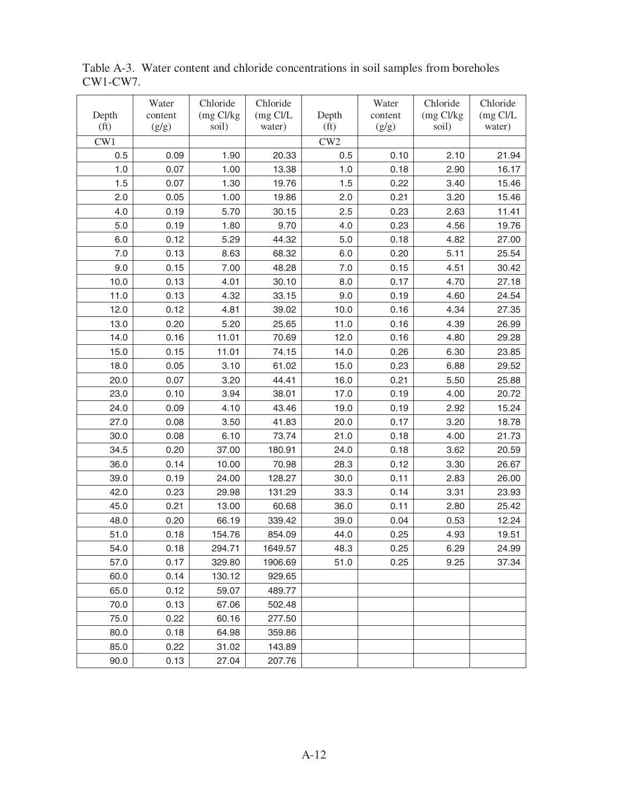| Depth             | Water<br>content | Chloride<br>(mg Cl/kg | Chloride<br>$(mg$ Cl/L | Depth             | Water<br>content | Chloride<br>$(mg$ Cl/kg | Chloride<br>$(mg$ Cl/L |
|-------------------|------------------|-----------------------|------------------------|-------------------|------------------|-------------------------|------------------------|
| (f <sub>t</sub> ) | (g/g)            | soil)                 | water)                 | (f <sub>t</sub> ) | (g/g)            | soil)                   | water)                 |
| CW1               |                  |                       |                        | CW2               |                  |                         |                        |
| 0.5               | 0.09             | 1.90                  | 20.33                  | 0.5               | 0.10             | 2.10                    | 21.94                  |
| 1.0               | 0.07             | 1.00                  | 13.38                  | 1.0               | 0.18             | 2.90                    | 16.17                  |
| 1.5               | 0.07             | 1.30                  | 19.76                  | 1.5               | 0.22             | 3.40                    | 15.46                  |
| 2.0               | 0.05             | 1.00                  | 19.86                  | 2.0               | 0.21             | 3.20                    | 15.46                  |
| 4.0               | 0.19             | 5.70                  | 30.15                  | 2.5               | 0.23             | 2.63                    | 11.41                  |
| 5.0               | 0.19             | 1.80                  | 9.70                   | 4.0               | 0.23             | 4.56                    | 19.76                  |
| 6.0               | 0.12             | 5.29                  | 44.32                  | 5.0               | 0.18             | 4.82                    | 27.00                  |
| 7.0               | 0.13             | 8.63                  | 68.32                  | 6.0               | 0.20             | 5.11                    | 25.54                  |
| 9.0               | 0.15             | 7.00                  | 48.28                  | 7.0               | 0.15             | 4.51                    | 30.42                  |
| 10.0              | 0.13             | 4.01                  | 30.10                  | 8.0               | 0.17             | 4.70                    | 27.18                  |
| 11.0              | 0.13             | 4.32                  | 33.15                  | 9.0               | 0.19             | 4.60                    | 24.54                  |
| 12.0              | 0.12             | 4.81                  | 39.02                  | 10.0              | 0.16             | 4.34                    | 27.35                  |
| 13.0              | 0.20             | 5.20                  | 25.65                  | 11.0              | 0.16             | 4.39                    | 26.99                  |
| 14.0              | 0.16             | 11.01                 | 70.69                  | 12.0              | 0.16             | 4.80                    | 29.28                  |
| 15.0              | 0.15             | 11.01                 | 74.15                  | 14.0              | 0.26             | 6.30                    | 23.85                  |
| 18.0              | 0.05             | 3.10                  | 61.02                  | 15.0              | 0.23             | 6.88                    | 29.52                  |
| 20.0              | 0.07             | 3.20                  | 44.41                  | 16.0              | 0.21             | 5.50                    | 25.88                  |
| 23.0              | 0.10             | 3.94                  | 38.01                  | 17.0              | 0.19             | 4.00                    | 20.72                  |
| 24.0              | 0.09             | 4.10                  | 43.46                  | 19.0              | 0.19             | 2.92                    | 15.24                  |
| 27.0              | 0.08             | 3.50                  | 41.83                  | 20.0              | 0.17             | 3.20                    | 18.78                  |
| 30.0              | 0.08             | 6.10                  | 73.74                  | 21.0              | 0.18             | 4.00                    | 21.73                  |
| 34.5              | 0.20             | 37.00                 | 180.91                 | 24.0              | 0.18             | 3.62                    | 20.59                  |
| 36.0              | 0.14             | 10.00                 | 70.98                  | 28.3              | 0.12             | 3.30                    | 26.67                  |
| 39.0              | 0.19             | 24.00                 | 128.27                 | 30.0              | 0.11             | 2.83                    | 26.00                  |
| 42.0              | 0.23             | 29.98                 | 131.29                 | 33.3              | 0.14             | 3.31                    | 23.93                  |
| 45.0              | 0.21             | 13.00                 | 60.68                  | 36.0              | 0.11             | 2.80                    | 25.42                  |
| 48.0              | 0.20             | 66.19                 | 339.42                 | 39.0              | 0.04             | 0.53                    | 12.24                  |
| 51.0              | 0.18             | 154.76                | 854.09                 | 44.0              | 0.25             | 4.93                    | 19.51                  |
| 54.0              | 0.18             | 294.71                | 1649.57                | 48.3              | 0.25             | 6.29                    | 24.99                  |
| 57.0              | 0.17             | 329.80                | 1906.69                | 51.0              | 0.25             | 9.25                    | 37.34                  |
| 60.0              | 0.14             | 130.12                | 929.65                 |                   |                  |                         |                        |
| 65.0              | 0.12             | 59.07                 | 489.77                 |                   |                  |                         |                        |
| 70.0              | 0.13             | 67.06                 | 502.48                 |                   |                  |                         |                        |
| 75.0              | 0.22             | 60.16                 | 277.50                 |                   |                  |                         |                        |
| 80.0              | 0.18             | 64.98                 | 359.86                 |                   |                  |                         |                        |
| 85.0              | 0.22             | 31.02                 | 143.89                 |                   |                  |                         |                        |
| 90.0              | 0.13             | 27.04                 | 207.76                 |                   |                  |                         |                        |

Table A-3. Water content and chloride concentrations in soil samples from boreholes CW1-CW7.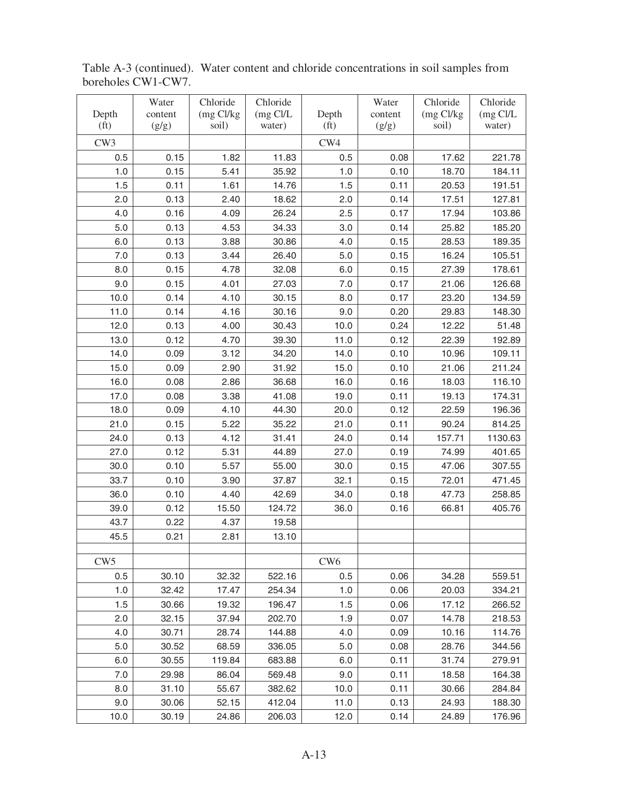| Depth             | Water<br>content | Chloride<br>$(mg$ Cl/kg | Chloride<br>$(mg$ Cl/L | Depth             | Water<br>content | Chloride<br>$(mg$ Cl/kg | Chloride<br>$(mg$ Cl/L |
|-------------------|------------------|-------------------------|------------------------|-------------------|------------------|-------------------------|------------------------|
| (f <sub>t</sub> ) | (g/g)            | soil)                   | water)                 | (f <sub>t</sub> ) | (g/g)            | soil)                   | water)                 |
| CW <sub>3</sub>   |                  |                         |                        | CW4               |                  |                         |                        |
| 0.5               | 0.15             | 1.82                    | 11.83                  | 0.5               | 0.08             | 17.62                   | 221.78                 |
| 1.0               | 0.15             | 5.41                    | 35.92                  | 1.0               | 0.10             | 18.70                   | 184.11                 |
| 1.5               | 0.11             | 1.61                    | 14.76                  | 1.5               | 0.11             | 20.53                   | 191.51                 |
| 2.0               | 0.13             | 2.40                    | 18.62                  | 2.0               | 0.14             | 17.51                   | 127.81                 |
| 4.0               | 0.16             | 4.09                    | 26.24                  | 2.5               | 0.17             | 17.94                   | 103.86                 |
| 5.0               | 0.13             | 4.53                    | 34.33                  | 3.0               | 0.14             | 25.82                   | 185.20                 |
| 6.0               | 0.13             | 3.88                    | 30.86                  | 4.0               | 0.15             | 28.53                   | 189.35                 |
| 7.0               | 0.13             | 3.44                    | 26.40                  | 5.0               | 0.15             | 16.24                   | 105.51                 |
| 8.0               | 0.15             | 4.78                    | 32.08                  | 6.0               | 0.15             | 27.39                   | 178.61                 |
| 9.0               | 0.15             | 4.01                    | 27.03                  | 7.0               | 0.17             | 21.06                   | 126.68                 |
| 10.0              | 0.14             | 4.10                    | 30.15                  | 8.0               | 0.17             | 23.20                   | 134.59                 |
| 11.0              | 0.14             | 4.16                    | 30.16                  | 9.0               | 0.20             | 29.83                   | 148.30                 |
| 12.0              | 0.13             | 4.00                    | 30.43                  | 10.0              | 0.24             | 12.22                   | 51.48                  |
| 13.0              | 0.12             | 4.70                    | 39.30                  | 11.0              | 0.12             | 22.39                   | 192.89                 |
| 14.0              | 0.09             | 3.12                    | 34.20                  | 14.0              | 0.10             | 10.96                   | 109.11                 |
| 15.0              | 0.09             | 2.90                    | 31.92                  | 15.0              | 0.10             | 21.06                   | 211.24                 |
| 16.0              | 0.08             | 2.86                    | 36.68                  | 16.0              | 0.16             | 18.03                   | 116.10                 |
| 17.0              | 0.08             | 3.38                    | 41.08                  | 19.0              | 0.11             | 19.13                   | 174.31                 |
| 18.0              | 0.09             | 4.10                    | 44.30                  | 20.0              | 0.12             | 22.59                   | 196.36                 |
| 21.0              | 0.15             | 5.22                    | 35.22                  | 21.0              | 0.11             | 90.24                   | 814.25                 |
| 24.0              | 0.13             | 4.12                    | 31.41                  | 24.0              | 0.14             | 157.71                  | 1130.63                |
| 27.0              | 0.12             | 5.31                    | 44.89                  | 27.0              | 0.19             | 74.99                   | 401.65                 |
| 30.0              | 0.10             | 5.57                    | 55.00                  | 30.0              | 0.15             | 47.06                   | 307.55                 |
| 33.7              | 0.10             | 3.90                    | 37.87                  | 32.1              | 0.15             | 72.01                   | 471.45                 |
| 36.0              | 0.10             | 4.40                    | 42.69                  | 34.0              | 0.18             | 47.73                   | 258.85                 |
| 39.0              | 0.12             | 15.50                   | 124.72                 | 36.0              | 0.16             | 66.81                   | 405.76                 |
| 43.7              | 0.22             | 4.37                    | 19.58                  |                   |                  |                         |                        |
| 45.5              | 0.21             | 2.81                    | 13.10                  |                   |                  |                         |                        |
|                   |                  |                         |                        |                   |                  |                         |                        |
| CW5               |                  |                         |                        | CW <sub>6</sub>   |                  |                         |                        |
| 0.5               | 30.10            | 32.32                   | 522.16                 | 0.5               | 0.06             | 34.28                   | 559.51                 |
| 1.0               | 32.42            | 17.47                   | 254.34                 | 1.0               | 0.06             | 20.03                   | 334.21                 |
| 1.5               | 30.66            | 19.32                   | 196.47                 | 1.5               | 0.06             | 17.12                   | 266.52                 |
| 2.0               | 32.15            | 37.94                   | 202.70                 | 1.9               | 0.07             | 14.78                   | 218.53                 |
| 4.0               | 30.71            | 28.74                   | 144.88                 | 4.0               | 0.09             | 10.16                   | 114.76                 |
| 5.0               | 30.52            | 68.59                   | 336.05                 | 5.0               | 0.08             | 28.76                   | 344.56                 |
| 6.0               | 30.55            | 119.84                  | 683.88                 | 6.0               | 0.11             | 31.74                   | 279.91                 |
| 7.0               | 29.98            | 86.04                   | 569.48                 | 9.0               | 0.11             | 18.58                   | 164.38                 |
| 8.0               | 31.10            | 55.67                   | 382.62                 | 10.0              | 0.11             | 30.66                   | 284.84                 |
| 9.0               | 30.06            | 52.15                   | 412.04                 | 11.0              | 0.13             | 24.93                   | 188.30                 |
| 10.0              | 30.19            | 24.86                   | 206.03                 | 12.0              | 0.14             | 24.89                   | 176.96                 |

Table A-3 (continued). Water content and chloride concentrations in soil samples from boreholes CW1-CW7.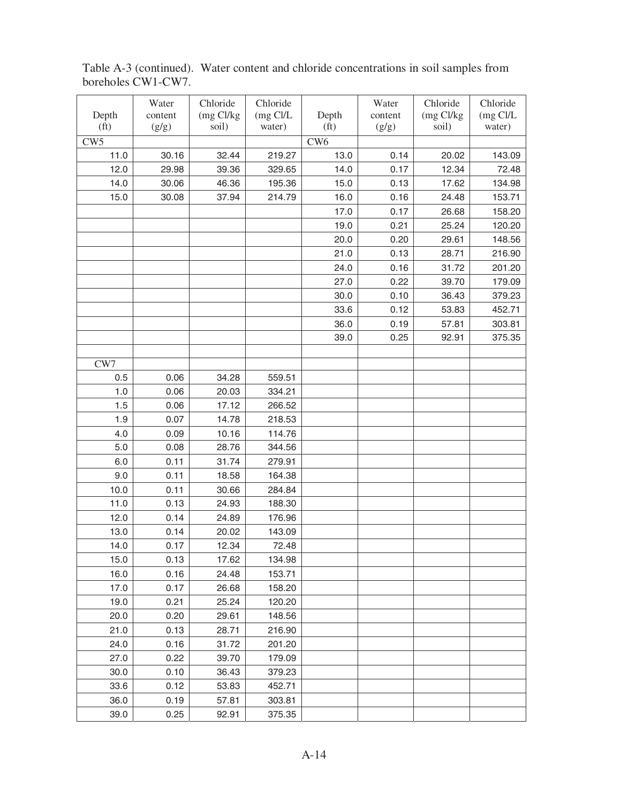Table A-3 (continued). Water content and chloride concentrations in soil samples from boreholes CW1-CW7.

|                   | Water   | Chloride    | Chloride   |                   | Water   | Chloride  | Chloride |
|-------------------|---------|-------------|------------|-------------------|---------|-----------|----------|
| Depth             | content | $(mg$ Cl/kg | $(mg$ Cl/L | Depth             | content | (mg Cl/kg | (mg Cl/L |
| (f <sub>t</sub> ) | (g/g)   | soil)       | water)     | (f <sub>t</sub> ) | (g/g)   | soil)     | water)   |
| CW <sub>5</sub>   |         |             |            | CW <sub>6</sub>   |         |           |          |
| 11.0              | 30.16   | 32.44       | 219.27     | 13.0              | 0.14    | 20.02     | 143.09   |
| 12.0              | 29.98   | 39.36       | 329.65     | 14.0              | 0.17    | 12.34     | 72.48    |
| 14.0              | 30.06   | 46.36       | 195.36     | 15.0              | 0.13    | 17.62     | 134.98   |
| 15.0              | 30.08   | 37.94       | 214.79     | 16.0              | 0.16    | 24.48     | 153.71   |
|                   |         |             |            | 17.0              | 0.17    | 26.68     | 158.20   |
|                   |         |             |            | 19.0              | 0.21    | 25.24     | 120.20   |
|                   |         |             |            | 20.0              | 0.20    | 29.61     | 148.56   |
|                   |         |             |            | 21.0              | 0.13    | 28.71     | 216.90   |
|                   |         |             |            | 24.0              | 0.16    | 31.72     | 201.20   |
|                   |         |             |            | 27.0              | 0.22    | 39.70     | 179.09   |
|                   |         |             |            | 30.0              | 0.10    | 36.43     | 379.23   |
|                   |         |             |            | 33.6              | 0.12    | 53.83     | 452.71   |
|                   |         |             |            | 36.0              | 0.19    | 57.81     | 303.81   |
|                   |         |             |            | 39.0              | 0.25    | 92.91     | 375.35   |
|                   |         |             |            |                   |         |           |          |
| CW7               |         |             |            |                   |         |           |          |
| 0.5               | 0.06    | 34.28       | 559.51     |                   |         |           |          |
| 1.0               | 0.06    | 20.03       | 334.21     |                   |         |           |          |
| 1.5               | 0.06    | 17.12       | 266.52     |                   |         |           |          |
| 1.9               | 0.07    | 14.78       | 218.53     |                   |         |           |          |
| 4.0               | 0.09    | 10.16       | 114.76     |                   |         |           |          |
| 5.0               | 0.08    | 28.76       | 344.56     |                   |         |           |          |
| 6.0               | 0.11    | 31.74       | 279.91     |                   |         |           |          |
| 9.0               | 0.11    | 18.58       | 164.38     |                   |         |           |          |
| 10.0              | 0.11    | 30.66       | 284.84     |                   |         |           |          |
| 11.0              | 0.13    | 24.93       | 188.30     |                   |         |           |          |
| 12.0              | 0.14    | 24.89       | 176.96     |                   |         |           |          |
| 13.0              | 0.14    | 20.02       | 143.09     |                   |         |           |          |
| 14.0              | 0.17    | 12.34       | 72.48      |                   |         |           |          |
| 15.0              | 0.13    | 17.62       | 134.98     |                   |         |           |          |
| 16.0              | 0.16    | 24.48       | 153.71     |                   |         |           |          |
| 17.0              | 0.17    | 26.68       | 158.20     |                   |         |           |          |
| 19.0              | 0.21    | 25.24       | 120.20     |                   |         |           |          |
| 20.0              | 0.20    | 29.61       | 148.56     |                   |         |           |          |
| 21.0              | 0.13    | 28.71       | 216.90     |                   |         |           |          |
| 24.0              | 0.16    | 31.72       | 201.20     |                   |         |           |          |
| 27.0              | 0.22    | 39.70       | 179.09     |                   |         |           |          |
| 30.0              | 0.10    | 36.43       | 379.23     |                   |         |           |          |
| 33.6              | 0.12    | 53.83       | 452.71     |                   |         |           |          |
| 36.0              | 0.19    | 57.81       | 303.81     |                   |         |           |          |
| 39.0              | 0.25    | 92.91       | 375.35     |                   |         |           |          |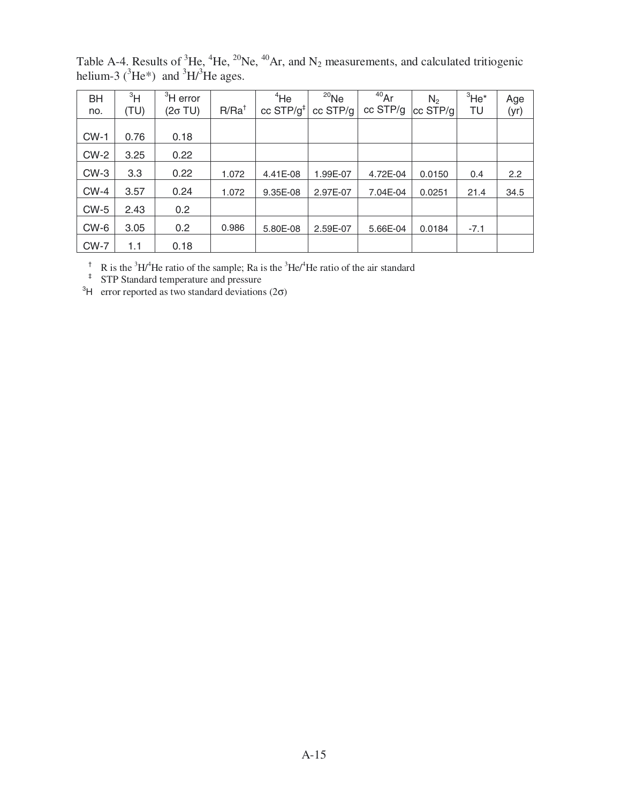| BH<br>no. | 3H<br>(TU) | ${}^{3}$ H error<br>(2σ TU) | $R/Ra^{\dagger}$ | $4$ He<br>cc $STP/g^{\ddagger}$ | $^{20}$ Ne<br>cc STP/g | $40$ Ar<br>cc STP/g | N <sub>2</sub><br>$ cc$ STP/g | $3$ He <sup>*</sup><br>TU | Age<br>(yr) |
|-----------|------------|-----------------------------|------------------|---------------------------------|------------------------|---------------------|-------------------------------|---------------------------|-------------|
| $CW-1$    | 0.76       | 0.18                        |                  |                                 |                        |                     |                               |                           |             |
| $CW-2$    | 3.25       | 0.22                        |                  |                                 |                        |                     |                               |                           |             |
| $CW-3$    | 3.3        | 0.22                        | 1.072            | 4.41E-08                        | 1.99E-07               | 4.72E-04            | 0.0150                        | 0.4                       | 2.2         |
| $CW-4$    | 3.57       | 0.24                        | 1.072            | 9.35E-08                        | 2.97E-07               | 7.04E-04            | 0.0251                        | 21.4                      | 34.5        |
| $CW-5$    | 2.43       | 0.2 <sub>0</sub>            |                  |                                 |                        |                     |                               |                           |             |
| CW-6      | 3.05       | 0.2                         | 0.986            | 5.80E-08                        | 2.59E-07               | 5.66E-04            | 0.0184                        | $-7.1$                    |             |
| $CW-7$    | 1.1        | 0.18                        |                  |                                 |                        |                     |                               |                           |             |

Table A-4. Results of  ${}^{3}$ He,  ${}^{4}$ He,  ${}^{20}$ Ne,  ${}^{40}$ Ar, and N<sub>2</sub> measurements, and calculated tritiogenic helium-3 ( ${}^{3}He^{*}$ ) and  ${}^{3}H/{}^{3}He$  ages.

<sup>†</sup> R is the <sup>3</sup>H/<sup>4</sup>He ratio of the sample; Ra is the <sup>3</sup>He/<sup>4</sup>He ratio of the air standard

‡ STP Standard temperature and pressure

<sup>3</sup>H error reported as two standard deviations  $(2\sigma)$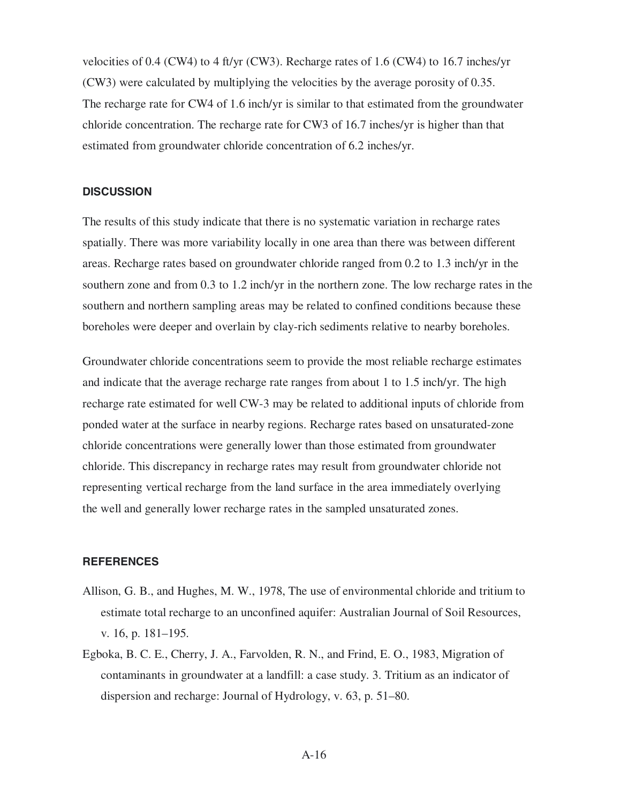velocities of 0.4 (CW4) to 4 ft/yr (CW3). Recharge rates of 1.6 (CW4) to 16.7 inches/yr (CW3) were calculated by multiplying the velocities by the average porosity of 0.35. The recharge rate for CW4 of 1.6 inch/yr is similar to that estimated from the groundwater chloride concentration. The recharge rate for CW3 of 16.7 inches/yr is higher than that estimated from groundwater chloride concentration of 6.2 inches/yr.

### **DISCUSSION**

The results of this study indicate that there is no systematic variation in recharge rates spatially. There was more variability locally in one area than there was between different areas. Recharge rates based on groundwater chloride ranged from 0.2 to 1.3 inch/yr in the southern zone and from 0.3 to 1.2 inch/yr in the northern zone. The low recharge rates in the southern and northern sampling areas may be related to confined conditions because these boreholes were deeper and overlain by clay-rich sediments relative to nearby boreholes.

Groundwater chloride concentrations seem to provide the most reliable recharge estimates and indicate that the average recharge rate ranges from about 1 to 1.5 inch/yr. The high recharge rate estimated for well CW-3 may be related to additional inputs of chloride from ponded water at the surface in nearby regions. Recharge rates based on unsaturated-zone chloride concentrations were generally lower than those estimated from groundwater chloride. This discrepancy in recharge rates may result from groundwater chloride not representing vertical recharge from the land surface in the area immediately overlying the well and generally lower recharge rates in the sampled unsaturated zones.

#### **REFERENCES**

- Allison, G. B., and Hughes, M. W., 1978, The use of environmental chloride and tritium to estimate total recharge to an unconfined aquifer: Australian Journal of Soil Resources, v. 16, p. 181–195.
- Egboka, B. C. E., Cherry, J. A., Farvolden, R. N., and Frind, E. O., 1983, Migration of contaminants in groundwater at a landfill: a case study. 3. Tritium as an indicator of dispersion and recharge: Journal of Hydrology, v. 63, p. 51–80.

A-16